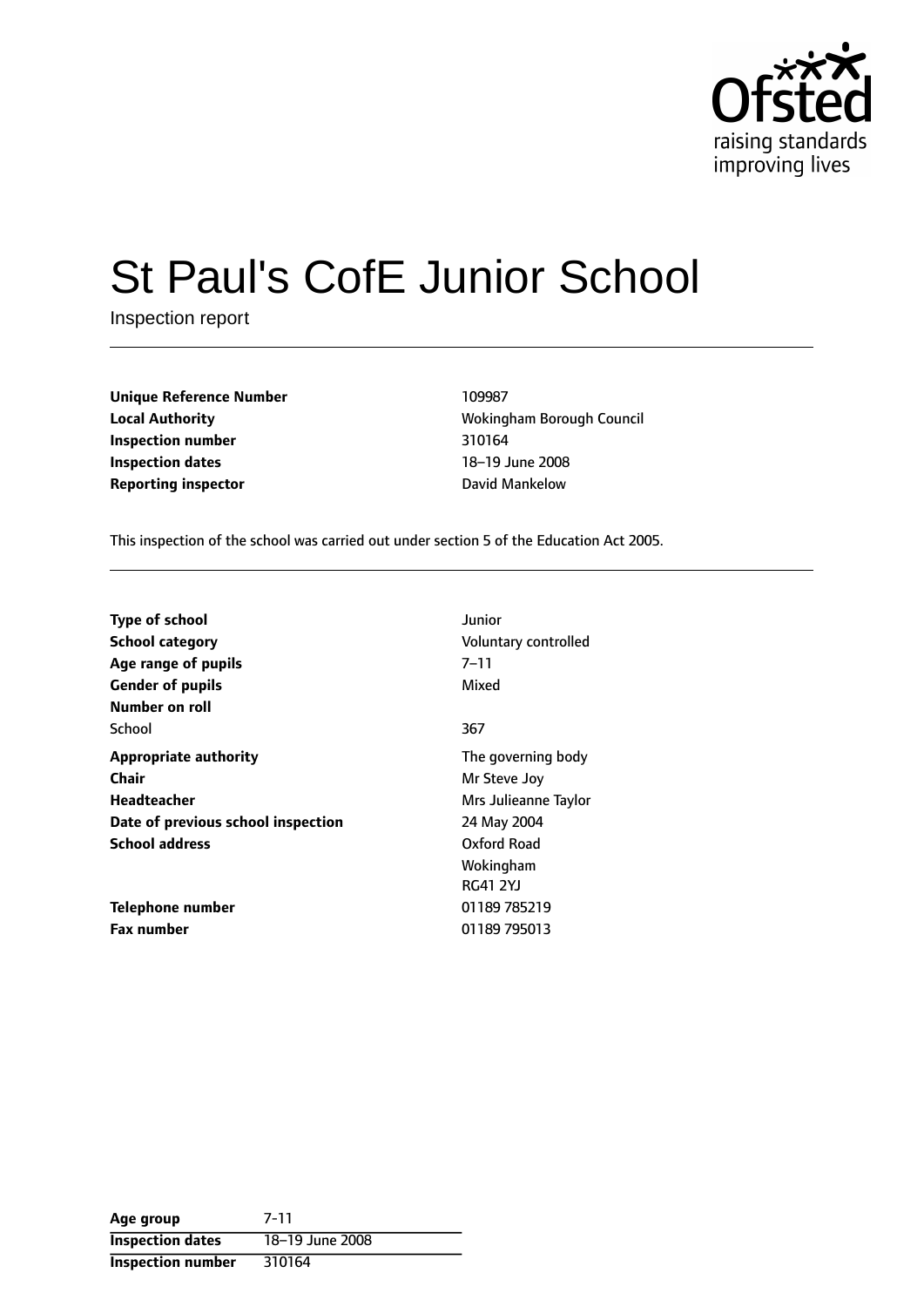

# St Paul's CofE Junior School

Inspection report

| <b>Unique Reference Number</b> | 109987                |
|--------------------------------|-----------------------|
| <b>Local Authority</b>         | <b>Wokingham Bord</b> |
| Inspection number              | 310164                |
| <b>Inspection dates</b>        | 18-19 June 2008       |
| <b>Reporting inspector</b>     | David Mankelow        |

**Local Authority** Wokingham Borough Council **Inspection number** 310164 18-19 June 2008

This inspection of the school was carried out under section 5 of the Education Act 2005.

| <b>Type of school</b><br><b>School category</b> | Junior<br>Voluntary controlled |
|-------------------------------------------------|--------------------------------|
| Age range of pupils                             | $7 - 11$                       |
| <b>Gender of pupils</b>                         | Mixed                          |
| Number on roll                                  |                                |
| School                                          | 367                            |
| <b>Appropriate authority</b>                    | The governing body             |
| <b>Chair</b>                                    | Mr Steve Joy                   |
| Headteacher                                     | Mrs Julieanne Taylor           |
| Date of previous school inspection              | 24 May 2004                    |
| <b>School address</b>                           | Oxford Road                    |
|                                                 | Wokingham                      |
|                                                 | <b>RG41 2YJ</b>                |
| Telephone number                                | 01189 785219                   |
| <b>Fax number</b>                               | 01189 795013                   |

| Age group                | 7-11            |
|--------------------------|-----------------|
| <b>Inspection dates</b>  | 18-19 June 2008 |
| <b>Inspection number</b> | 310164          |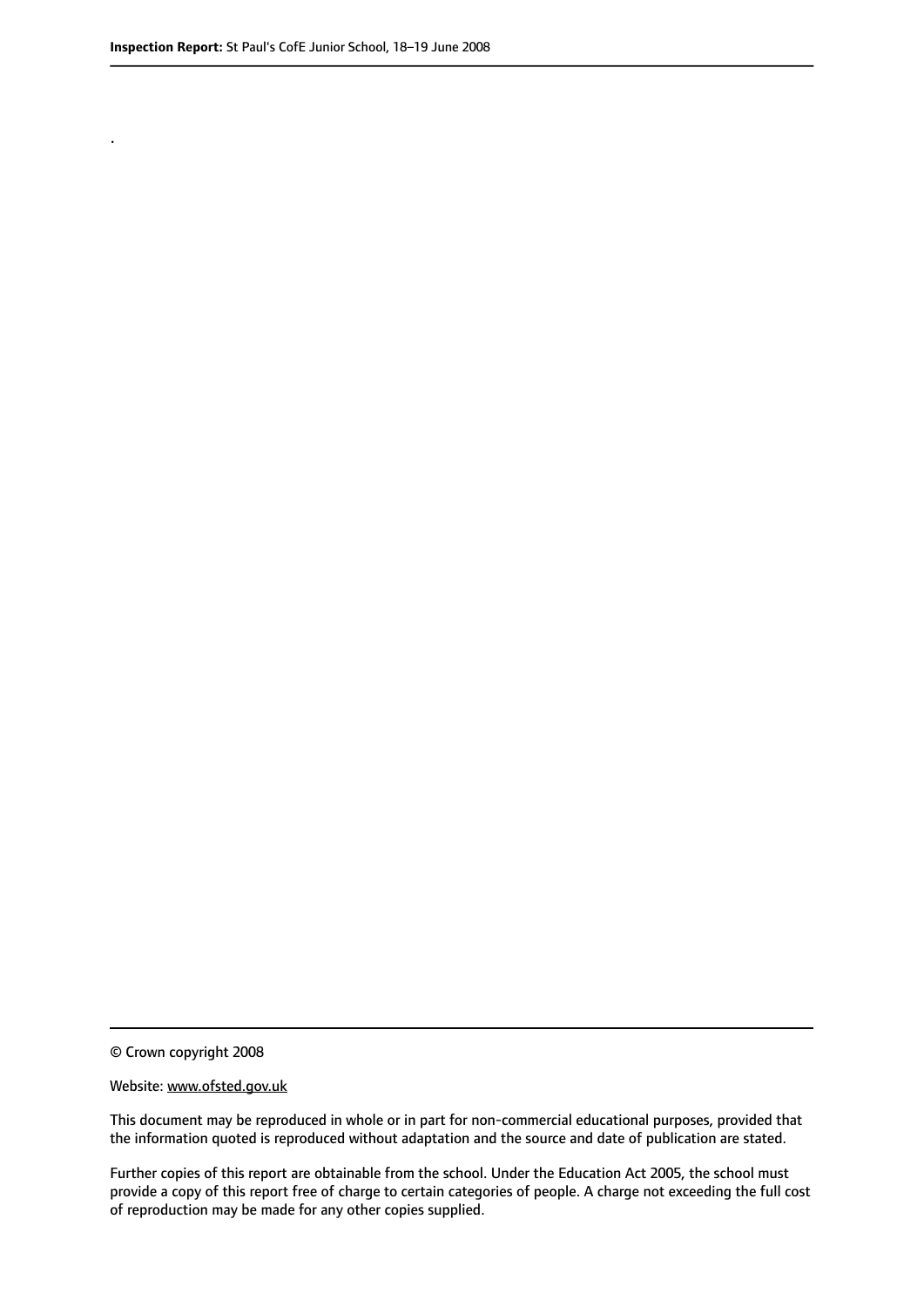.

© Crown copyright 2008

#### Website: www.ofsted.gov.uk

This document may be reproduced in whole or in part for non-commercial educational purposes, provided that the information quoted is reproduced without adaptation and the source and date of publication are stated.

Further copies of this report are obtainable from the school. Under the Education Act 2005, the school must provide a copy of this report free of charge to certain categories of people. A charge not exceeding the full cost of reproduction may be made for any other copies supplied.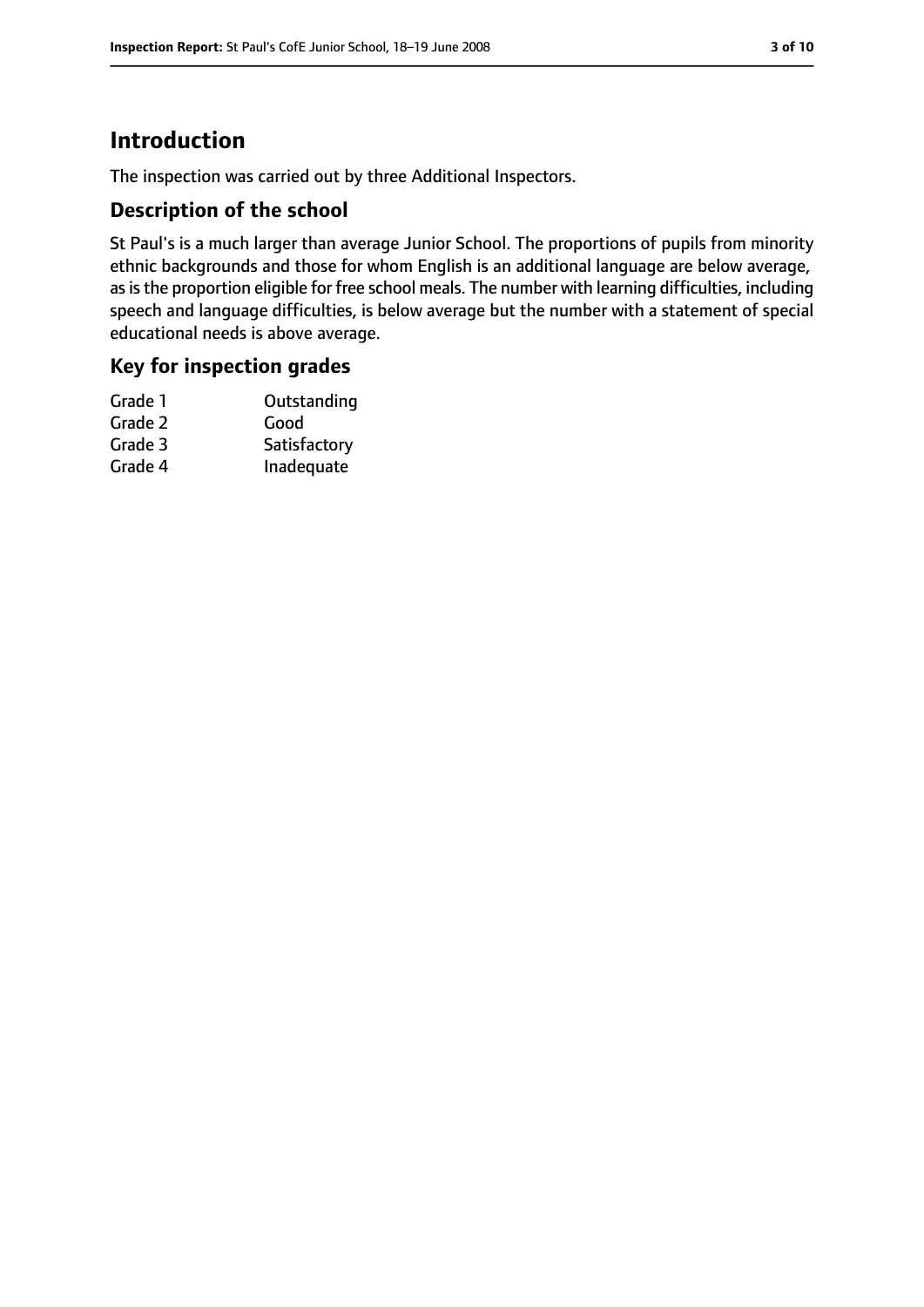# **Introduction**

The inspection was carried out by three Additional Inspectors.

## **Description of the school**

St Paul's is a much larger than average Junior School. The proportions of pupils from minority ethnic backgrounds and those for whom English is an additional language are below average, as is the proportion eligible for free school meals. The number with learning difficulties, including speech and language difficulties, is below average but the number with a statement of special educational needs is above average.

## **Key for inspection grades**

| Grade 1 | Outstanding  |
|---------|--------------|
| Grade 2 | Good         |
| Grade 3 | Satisfactory |
| Grade 4 | Inadequate   |
|         |              |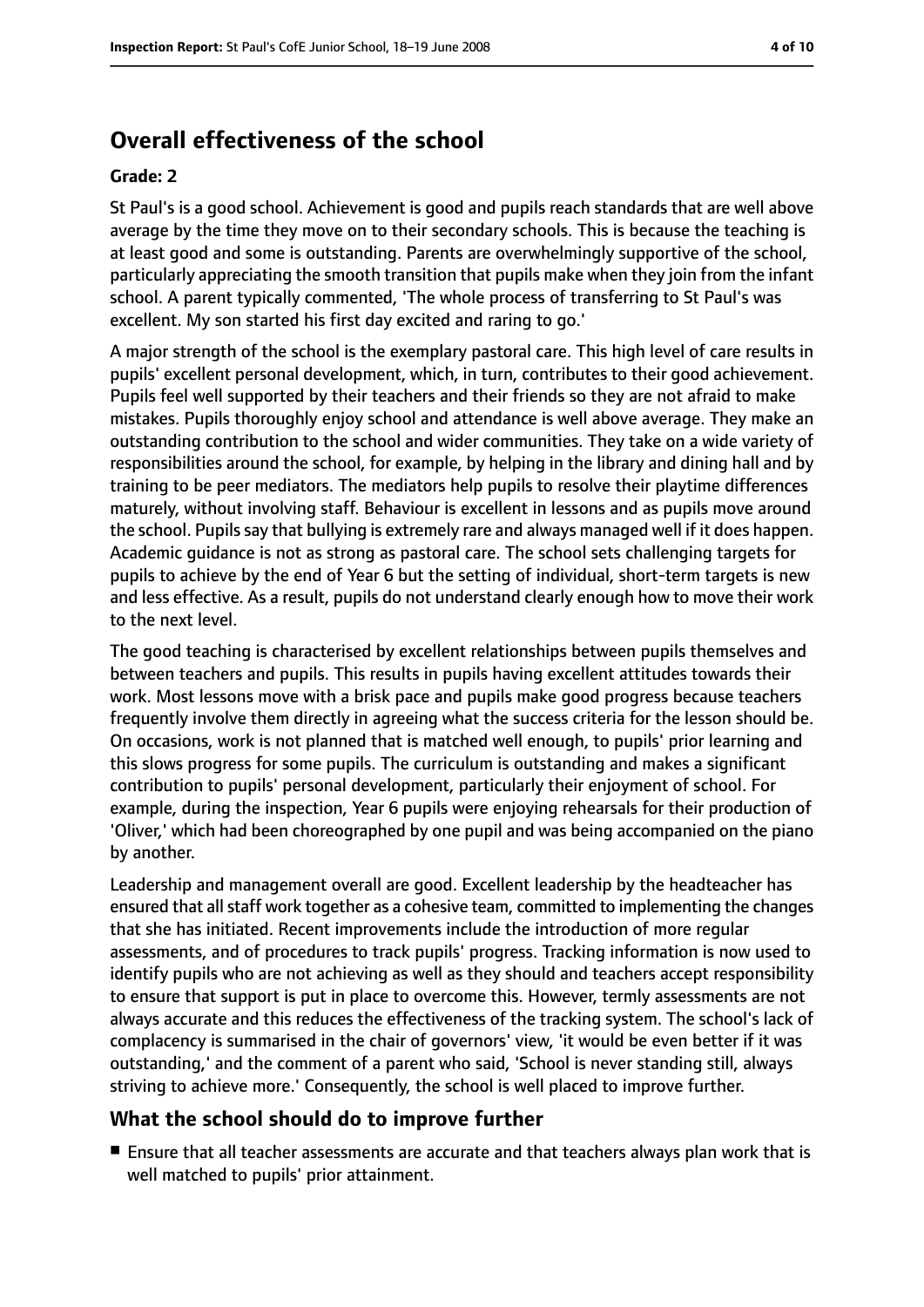# **Overall effectiveness of the school**

#### **Grade: 2**

St Paul's is a good school. Achievement is good and pupils reach standards that are well above average by the time they move on to their secondary schools. This is because the teaching is at least good and some is outstanding. Parents are overwhelmingly supportive of the school, particularly appreciating the smooth transition that pupils make when they join from the infant school. A parent typically commented, 'The whole process of transferring to St Paul's was excellent. My son started his first day excited and raring to go.'

A major strength of the school is the exemplary pastoral care. This high level of care results in pupils' excellent personal development, which, in turn, contributes to their good achievement. Pupils feel well supported by their teachers and their friends so they are not afraid to make mistakes. Pupils thoroughly enjoy school and attendance is well above average. They make an outstanding contribution to the school and wider communities. They take on a wide variety of responsibilities around the school, for example, by helping in the library and dining hall and by training to be peer mediators. The mediators help pupils to resolve their playtime differences maturely, without involving staff. Behaviour is excellent in lessons and as pupils move around the school. Pupils say that bullying is extremely rare and always managed well if it does happen. Academic guidance is not as strong as pastoral care. The school sets challenging targets for pupils to achieve by the end of Year 6 but the setting of individual, short-term targets is new and less effective. As a result, pupils do not understand clearly enough how to move their work to the next level.

The good teaching is characterised by excellent relationships between pupils themselves and between teachers and pupils. This results in pupils having excellent attitudes towards their work. Most lessons move with a brisk pace and pupils make good progress because teachers frequently involve them directly in agreeing what the success criteria for the lesson should be. On occasions, work is not planned that is matched well enough, to pupils' prior learning and this slows progress for some pupils. The curriculum is outstanding and makes a significant contribution to pupils' personal development, particularly their enjoyment of school. For example, during the inspection, Year 6 pupils were enjoying rehearsals for their production of 'Oliver,' which had been choreographed by one pupil and was being accompanied on the piano by another.

Leadership and management overall are good. Excellent leadership by the headteacher has ensured that all staff work together as a cohesive team, committed to implementing the changes that she has initiated. Recent improvements include the introduction of more regular assessments, and of procedures to track pupils' progress. Tracking information is now used to identify pupils who are not achieving as well as they should and teachers accept responsibility to ensure that support is put in place to overcome this. However, termly assessments are not always accurate and this reduces the effectiveness of the tracking system. The school's lack of complacency is summarised in the chair of governors' view, 'it would be even better if it was outstanding,' and the comment of a parent who said, 'School is never standing still, always striving to achieve more.' Consequently, the school is well placed to improve further.

#### **What the school should do to improve further**

■ Ensure that all teacher assessments are accurate and that teachers always plan work that is well matched to pupils' prior attainment.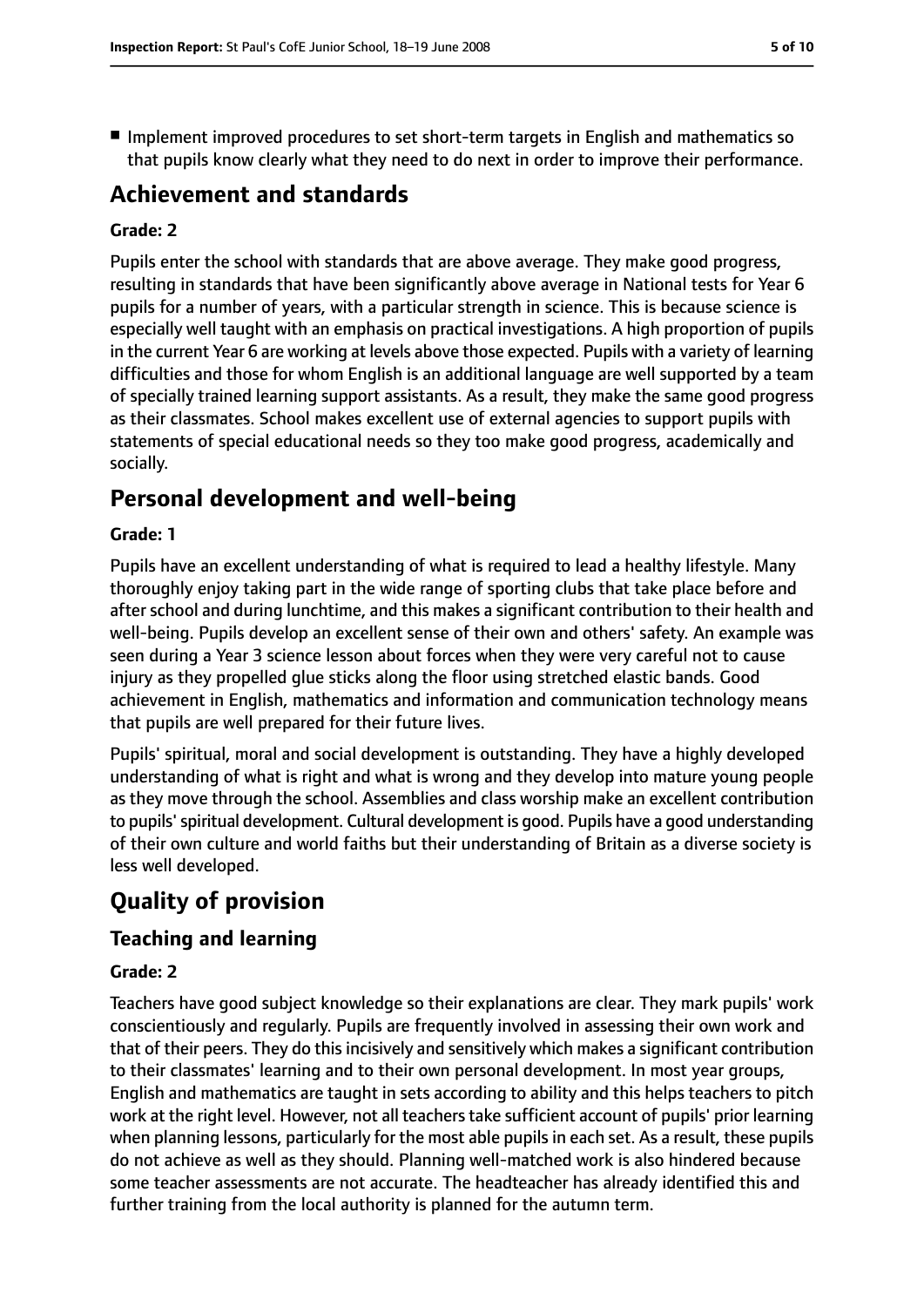■ Implement improved procedures to set short-term targets in English and mathematics so that pupils know clearly what they need to do next in order to improve their performance.

# **Achievement and standards**

#### **Grade: 2**

Pupils enter the school with standards that are above average. They make good progress, resulting in standards that have been significantly above average in National tests for Year 6 pupils for a number of years, with a particular strength in science. This is because science is especially well taught with an emphasis on practical investigations. A high proportion of pupils in the current Year 6 are working at levels above those expected. Pupils with a variety of learning difficulties and those for whom English is an additional language are well supported by a team of specially trained learning support assistants. As a result, they make the same good progress as their classmates. School makes excellent use of external agencies to support pupils with statements of special educational needs so they too make good progress, academically and socially.

# **Personal development and well-being**

#### **Grade: 1**

Pupils have an excellent understanding of what is required to lead a healthy lifestyle. Many thoroughly enjoy taking part in the wide range of sporting clubs that take place before and after school and during lunchtime, and this makes a significant contribution to their health and well-being. Pupils develop an excellent sense of their own and others' safety. An example was seen during a Year 3 science lesson about forces when they were very careful not to cause injury as they propelled glue sticks along the floor using stretched elastic bands. Good achievement in English, mathematics and information and communication technology means that pupils are well prepared for their future lives.

Pupils' spiritual, moral and social development is outstanding. They have a highly developed understanding of what is right and what is wrong and they develop into mature young people as they move through the school. Assemblies and class worship make an excellent contribution to pupils'spiritual development. Cultural development is good. Pupils have a good understanding of their own culture and world faiths but their understanding of Britain as a diverse society is less well developed.

# **Quality of provision**

## **Teaching and learning**

#### **Grade: 2**

Teachers have good subject knowledge so their explanations are clear. They mark pupils' work conscientiously and regularly. Pupils are frequently involved in assessing their own work and that of their peers. They do this incisively and sensitively which makes a significant contribution to their classmates' learning and to their own personal development. In most year groups, English and mathematics are taught in sets according to ability and this helps teachers to pitch work at the right level. However, not all teachers take sufficient account of pupils' prior learning when planning lessons, particularly for the most able pupils in each set. As a result, these pupils do not achieve as well as they should. Planning well-matched work is also hindered because some teacher assessments are not accurate. The headteacher has already identified this and further training from the local authority is planned for the autumn term.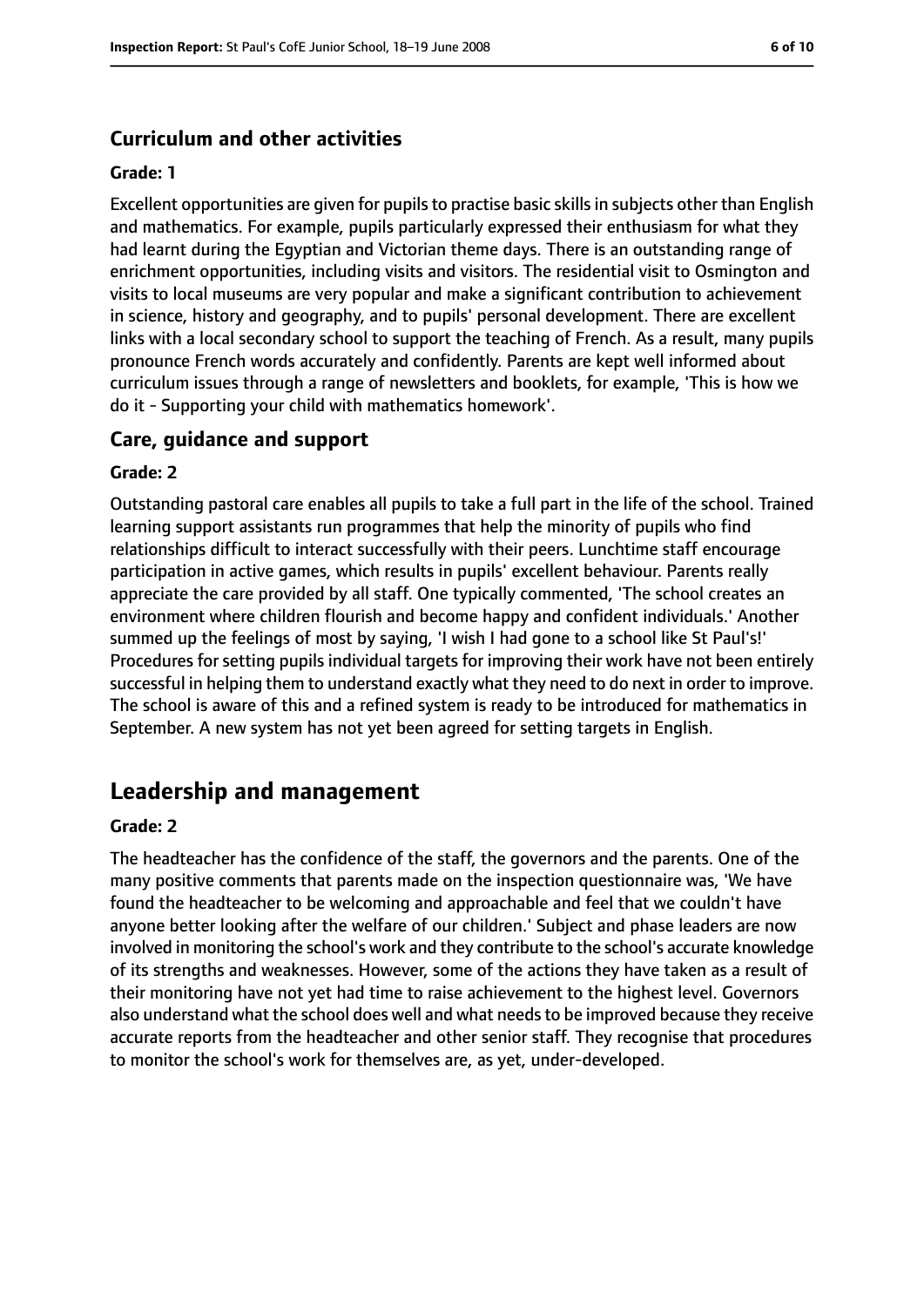#### **Curriculum and other activities**

#### **Grade: 1**

Excellent opportunities are given for pupils to practise basic skills in subjects other than English and mathematics. For example, pupils particularly expressed their enthusiasm for what they had learnt during the Egyptian and Victorian theme days. There is an outstanding range of enrichment opportunities, including visits and visitors. The residential visit to Osmington and visits to local museums are very popular and make a significant contribution to achievement in science, history and geography, and to pupils' personal development. There are excellent links with a local secondary school to support the teaching of French. As a result, many pupils pronounce French words accurately and confidently. Parents are kept well informed about curriculum issues through a range of newsletters and booklets, for example, 'This is how we do it - Supporting your child with mathematics homework'.

#### **Care, guidance and support**

#### **Grade: 2**

Outstanding pastoral care enables all pupils to take a full part in the life of the school. Trained learning support assistants run programmes that help the minority of pupils who find relationships difficult to interact successfully with their peers. Lunchtime staff encourage participation in active games, which results in pupils' excellent behaviour. Parents really appreciate the care provided by all staff. One typically commented, 'The school creates an environment where children flourish and become happy and confident individuals.' Another summed up the feelings of most by saying, 'I wish I had gone to a school like St Paul's!' Procedures for setting pupils individual targets for improving their work have not been entirely successful in helping them to understand exactly what they need to do next in order to improve. The school is aware of this and a refined system is ready to be introduced for mathematics in September. A new system has not yet been agreed for setting targets in English.

## **Leadership and management**

#### **Grade: 2**

The headteacher has the confidence of the staff, the governors and the parents. One of the many positive comments that parents made on the inspection questionnaire was, 'We have found the headteacher to be welcoming and approachable and feel that we couldn't have anyone better looking after the welfare of our children.' Subject and phase leaders are now involved in monitoring the school's work and they contribute to the school's accurate knowledge of its strengths and weaknesses. However, some of the actions they have taken as a result of their monitoring have not yet had time to raise achievement to the highest level. Governors also understand what the school does well and what needsto be improved because they receive accurate reports from the headteacher and other senior staff. They recognise that procedures to monitor the school's work for themselves are, as yet, under-developed.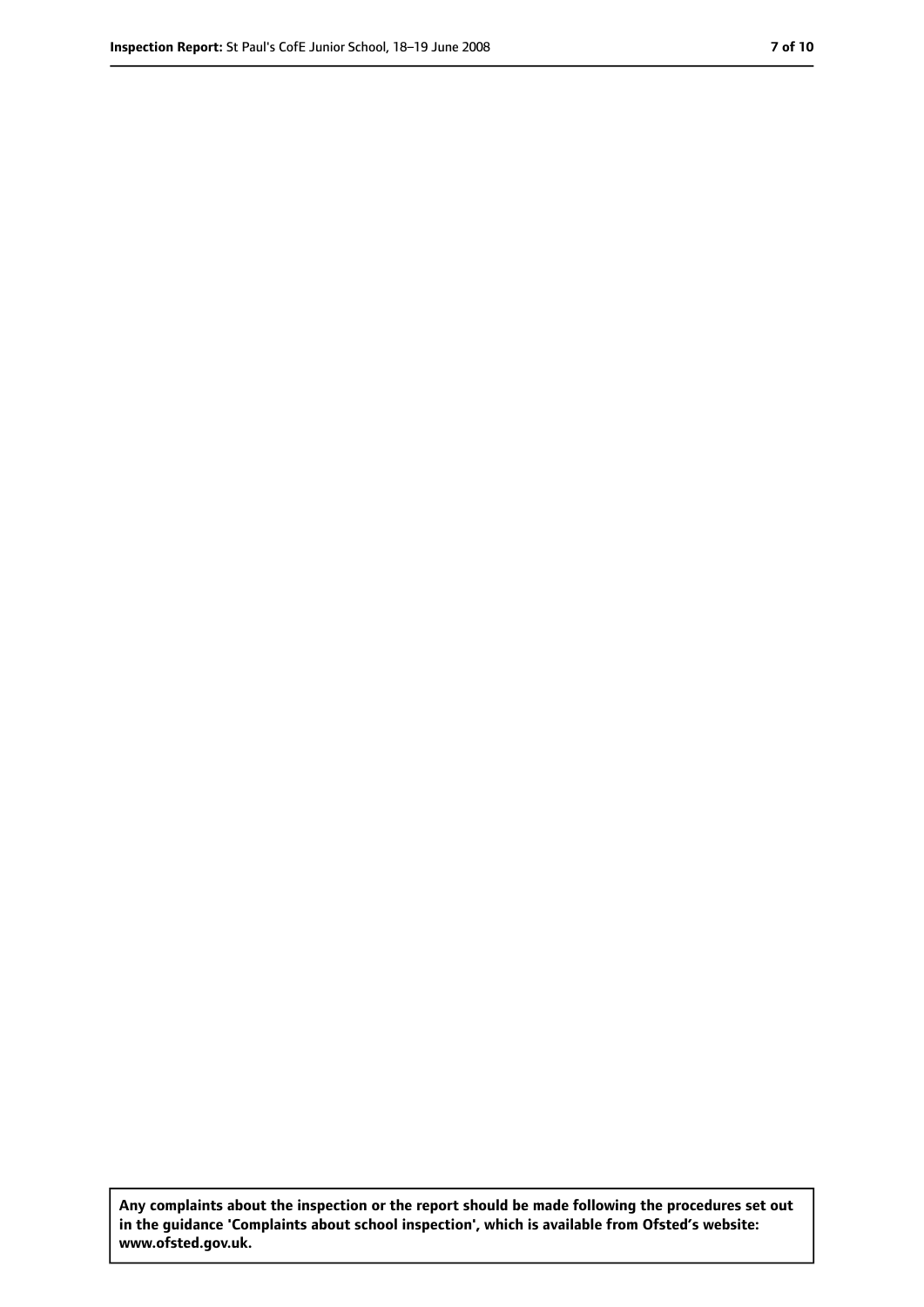**Any complaints about the inspection or the report should be made following the procedures set out in the guidance 'Complaints about school inspection', which is available from Ofsted's website: www.ofsted.gov.uk.**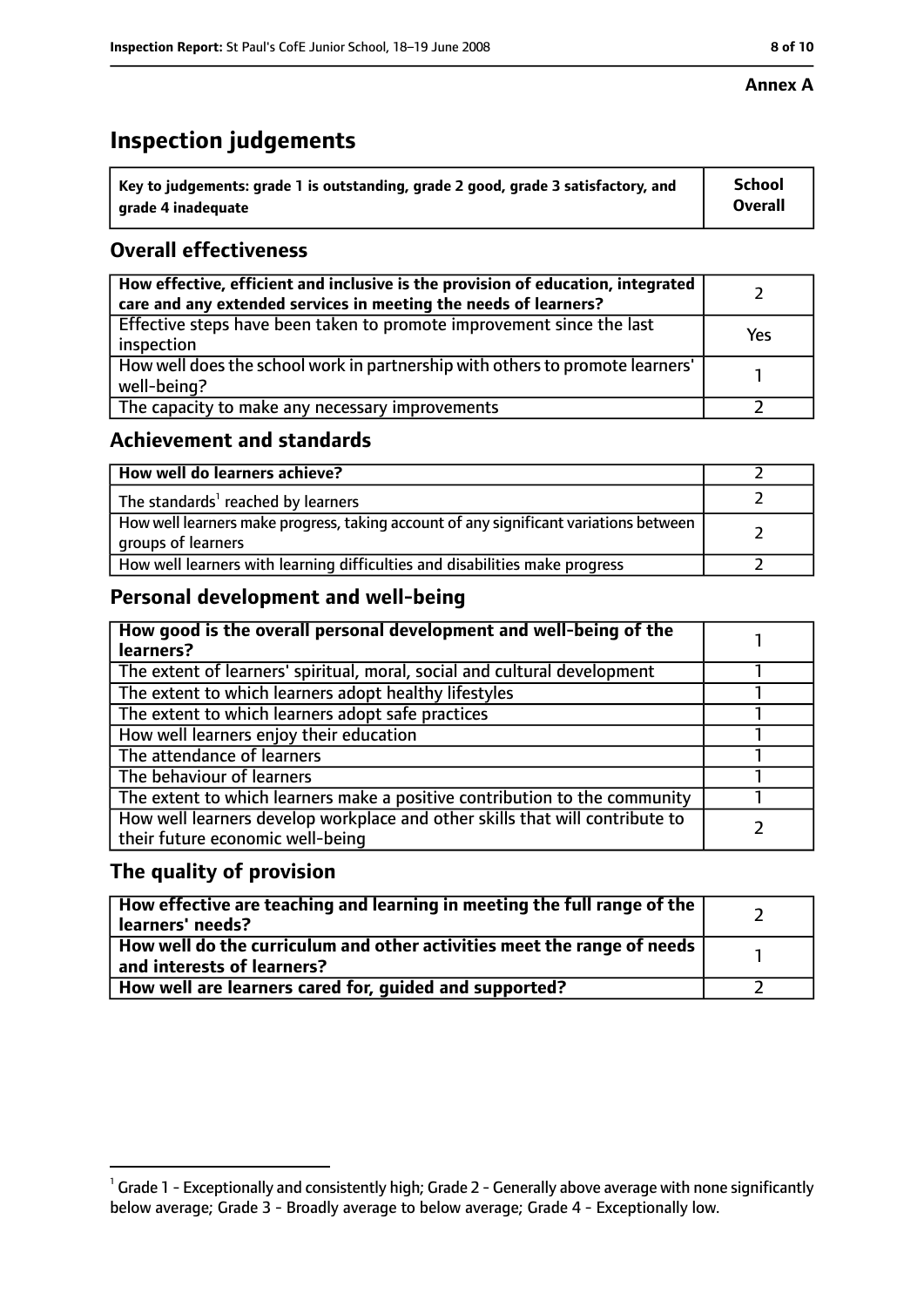#### **Annex A**

# **Inspection judgements**

| $^{\backprime}$ Key to judgements: grade 1 is outstanding, grade 2 good, grade 3 satisfactory, and | <b>School</b>  |
|----------------------------------------------------------------------------------------------------|----------------|
| arade 4 inadequate                                                                                 | <b>Overall</b> |

## **Overall effectiveness**

| How effective, efficient and inclusive is the provision of education, integrated<br>care and any extended services in meeting the needs of learners? |     |
|------------------------------------------------------------------------------------------------------------------------------------------------------|-----|
| Effective steps have been taken to promote improvement since the last<br>inspection                                                                  | Yes |
| How well does the school work in partnership with others to promote learners'<br>well-being?                                                         |     |
| The capacity to make any necessary improvements                                                                                                      |     |

## **Achievement and standards**

| How well do learners achieve?                                                                               |  |
|-------------------------------------------------------------------------------------------------------------|--|
| The standards <sup>1</sup> reached by learners                                                              |  |
| How well learners make progress, taking account of any significant variations between<br>groups of learners |  |
| How well learners with learning difficulties and disabilities make progress                                 |  |

## **Personal development and well-being**

| How good is the overall personal development and well-being of the<br>learners?                                  |  |
|------------------------------------------------------------------------------------------------------------------|--|
| The extent of learners' spiritual, moral, social and cultural development                                        |  |
| The extent to which learners adopt healthy lifestyles                                                            |  |
| The extent to which learners adopt safe practices                                                                |  |
| How well learners enjoy their education                                                                          |  |
| The attendance of learners                                                                                       |  |
| The behaviour of learners                                                                                        |  |
| The extent to which learners make a positive contribution to the community                                       |  |
| How well learners develop workplace and other skills that will contribute to<br>their future economic well-being |  |

## **The quality of provision**

| How effective are teaching and learning in meeting the full range of the<br>learners' needs?                     |  |
|------------------------------------------------------------------------------------------------------------------|--|
| How well do the curriculum and other activities meet the range of needs<br>$^{\rm t}$ and interests of learners? |  |
| How well are learners cared for, guided and supported?                                                           |  |

 $^1$  Grade 1 - Exceptionally and consistently high; Grade 2 - Generally above average with none significantly below average; Grade 3 - Broadly average to below average; Grade 4 - Exceptionally low.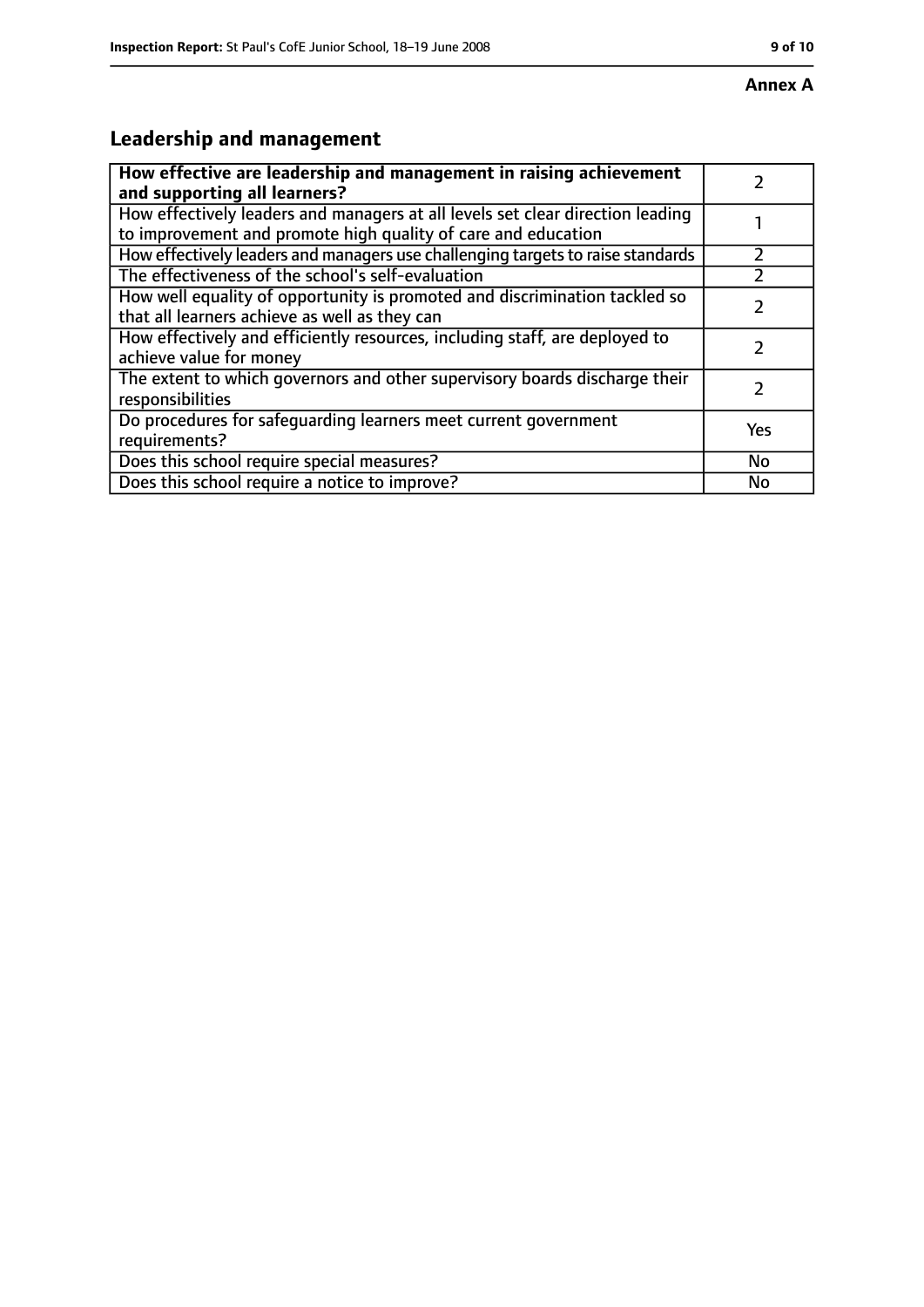# **Leadership and management**

| How effective are leadership and management in raising achievement              |     |
|---------------------------------------------------------------------------------|-----|
| and supporting all learners?                                                    |     |
| How effectively leaders and managers at all levels set clear direction leading  |     |
| to improvement and promote high quality of care and education                   |     |
| How effectively leaders and managers use challenging targets to raise standards |     |
| The effectiveness of the school's self-evaluation                               |     |
| How well equality of opportunity is promoted and discrimination tackled so      |     |
| that all learners achieve as well as they can                                   |     |
| How effectively and efficiently resources, including staff, are deployed to     | 7   |
| achieve value for money                                                         |     |
| The extent to which governors and other supervisory boards discharge their      |     |
| responsibilities                                                                |     |
| Do procedures for safequarding learners meet current government                 | Yes |
| requirements?                                                                   |     |
| Does this school require special measures?                                      | No  |
| Does this school require a notice to improve?                                   | No  |